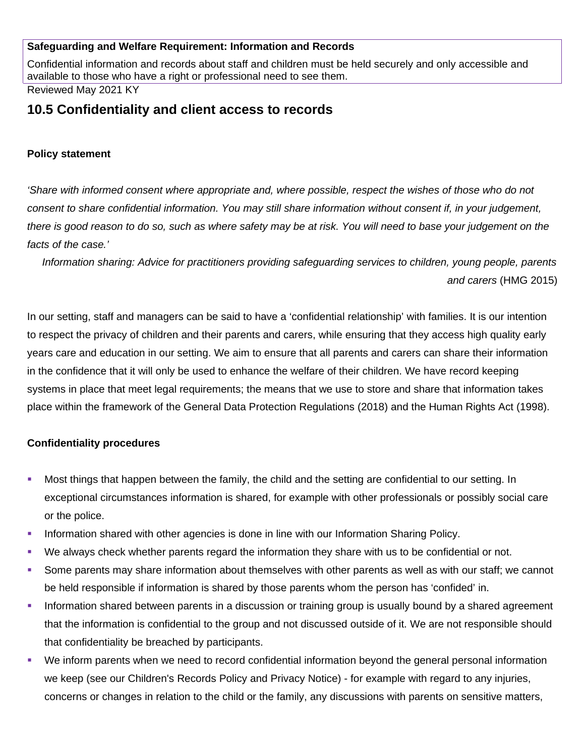## **Safeguarding and Welfare Requirement: Information and Records**

Confidential information and records about staff and children must be held securely and only accessible and available to those who have a right or professional need to see them. Reviewed May 2021 KY

# **10.5 Confidentiality and client access to records**

#### **Policy statement**

*'Share with informed consent where appropriate and, where possible, respect the wishes of those who do not consent to share confidential information. You may still share information without consent if, in your judgement, there is good reason to do so, such as where safety may be at risk. You will need to base your judgement on the facts of the case.'*

*Information sharing: Advice for practitioners providing safeguarding services to children, young people, parents and carers* (HMG 2015)

In our setting, staff and managers can be said to have a 'confidential relationship' with families. It is our intention to respect the privacy of children and their parents and carers, while ensuring that they access high quality early years care and education in our setting. We aim to ensure that all parents and carers can share their information in the confidence that it will only be used to enhance the welfare of their children. We have record keeping systems in place that meet legal requirements; the means that we use to store and share that information takes place within the framework of the General Data Protection Regulations (2018) and the Human Rights Act (1998).

#### **Confidentiality procedures**

- Most things that happen between the family, the child and the setting are confidential to our setting. In exceptional circumstances information is shared, for example with other professionals or possibly social care or the police.
- **Information shared with other agencies is done in line with our Information Sharing Policy.**
- We always check whether parents regard the information they share with us to be confidential or not.
- Some parents may share information about themselves with other parents as well as with our staff; we cannot be held responsible if information is shared by those parents whom the person has 'confided' in.
- Information shared between parents in a discussion or training group is usually bound by a shared agreement that the information is confidential to the group and not discussed outside of it. We are not responsible should that confidentiality be breached by participants.
- We inform parents when we need to record confidential information beyond the general personal information we keep (see our Children's Records Policy and Privacy Notice) - for example with regard to any injuries, concerns or changes in relation to the child or the family, any discussions with parents on sensitive matters,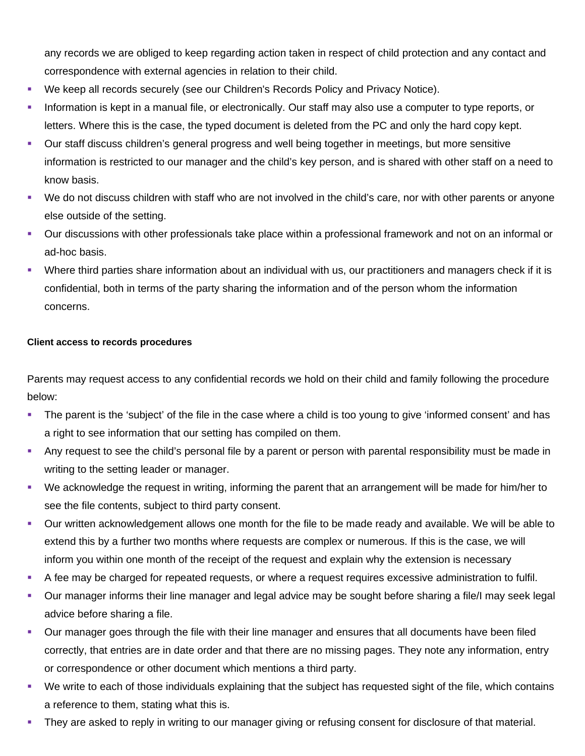any records we are obliged to keep regarding action taken in respect of child protection and any contact and correspondence with external agencies in relation to their child.

- We keep all records securely (see our Children's Records Policy and Privacy Notice).
- **Information is kept in a manual file, or electronically. Our staff may also use a computer to type reports, or** letters. Where this is the case, the typed document is deleted from the PC and only the hard copy kept.
- Our staff discuss children's general progress and well being together in meetings, but more sensitive information is restricted to our manager and the child's key person, and is shared with other staff on a need to know basis.
- We do not discuss children with staff who are not involved in the child's care, nor with other parents or anyone else outside of the setting.
- Our discussions with other professionals take place within a professional framework and not on an informal or ad-hoc basis.
- Where third parties share information about an individual with us, our practitioners and managers check if it is confidential, both in terms of the party sharing the information and of the person whom the information concerns.

## **Client access to records procedures**

Parents may request access to any confidential records we hold on their child and family following the procedure below:

- The parent is the 'subject' of the file in the case where a child is too young to give 'informed consent' and has a right to see information that our setting has compiled on them.
- Any request to see the child's personal file by a parent or person with parental responsibility must be made in writing to the setting leader or manager.
- We acknowledge the request in writing, informing the parent that an arrangement will be made for him/her to see the file contents, subject to third party consent.
- Our written acknowledgement allows one month for the file to be made ready and available. We will be able to extend this by a further two months where requests are complex or numerous. If this is the case, we will inform you within one month of the receipt of the request and explain why the extension is necessary
- A fee may be charged for repeated requests, or where a request requires excessive administration to fulfil.
- Our manager informs their line manager and legal advice may be sought before sharing a file/I may seek legal advice before sharing a file.
- Our manager goes through the file with their line manager and ensures that all documents have been filed correctly, that entries are in date order and that there are no missing pages. They note any information, entry or correspondence or other document which mentions a third party.
- We write to each of those individuals explaining that the subject has requested sight of the file, which contains a reference to them, stating what this is.
- They are asked to reply in writing to our manager giving or refusing consent for disclosure of that material.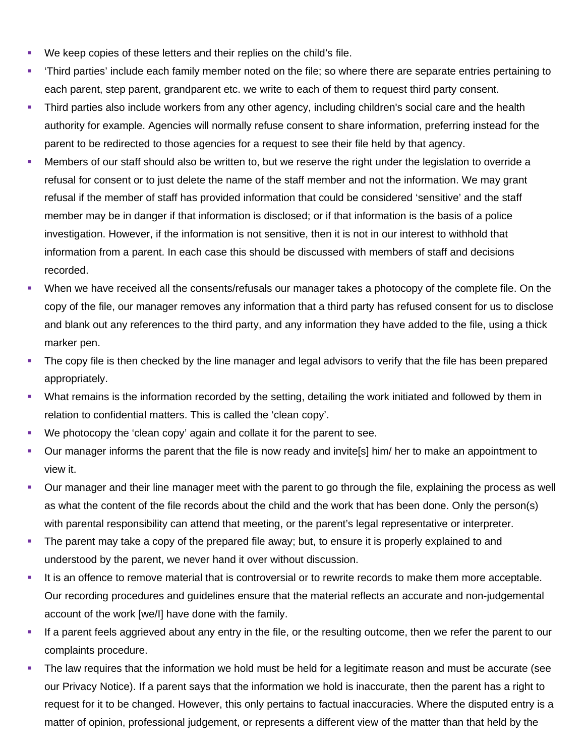- We keep copies of these letters and their replies on the child's file.
- 'Third parties' include each family member noted on the file; so where there are separate entries pertaining to each parent, step parent, grandparent etc. we write to each of them to request third party consent.
- Third parties also include workers from any other agency, including children's social care and the health authority for example. Agencies will normally refuse consent to share information, preferring instead for the parent to be redirected to those agencies for a request to see their file held by that agency.
- Members of our staff should also be written to, but we reserve the right under the legislation to override a refusal for consent or to just delete the name of the staff member and not the information. We may grant refusal if the member of staff has provided information that could be considered 'sensitive' and the staff member may be in danger if that information is disclosed; or if that information is the basis of a police investigation. However, if the information is not sensitive, then it is not in our interest to withhold that information from a parent. In each case this should be discussed with members of staff and decisions recorded.
- When we have received all the consents/refusals our manager takes a photocopy of the complete file. On the copy of the file, our manager removes any information that a third party has refused consent for us to disclose and blank out any references to the third party, and any information they have added to the file, using a thick marker pen.
- The copy file is then checked by the line manager and legal advisors to verify that the file has been prepared appropriately.
- What remains is the information recorded by the setting, detailing the work initiated and followed by them in relation to confidential matters. This is called the 'clean copy'.
- We photocopy the 'clean copy' again and collate it for the parent to see.
- Our manager informs the parent that the file is now ready and invite[s] him/ her to make an appointment to view it.
- Our manager and their line manager meet with the parent to go through the file, explaining the process as well as what the content of the file records about the child and the work that has been done. Only the person(s) with parental responsibility can attend that meeting, or the parent's legal representative or interpreter.
- The parent may take a copy of the prepared file away; but, to ensure it is properly explained to and understood by the parent, we never hand it over without discussion.
- It is an offence to remove material that is controversial or to rewrite records to make them more acceptable. Our recording procedures and guidelines ensure that the material reflects an accurate and non-judgemental account of the work [we/I] have done with the family.
- If a parent feels aggrieved about any entry in the file, or the resulting outcome, then we refer the parent to our complaints procedure.
- The law requires that the information we hold must be held for a legitimate reason and must be accurate (see our Privacy Notice). If a parent says that the information we hold is inaccurate, then the parent has a right to request for it to be changed. However, this only pertains to factual inaccuracies. Where the disputed entry is a matter of opinion, professional judgement, or represents a different view of the matter than that held by the